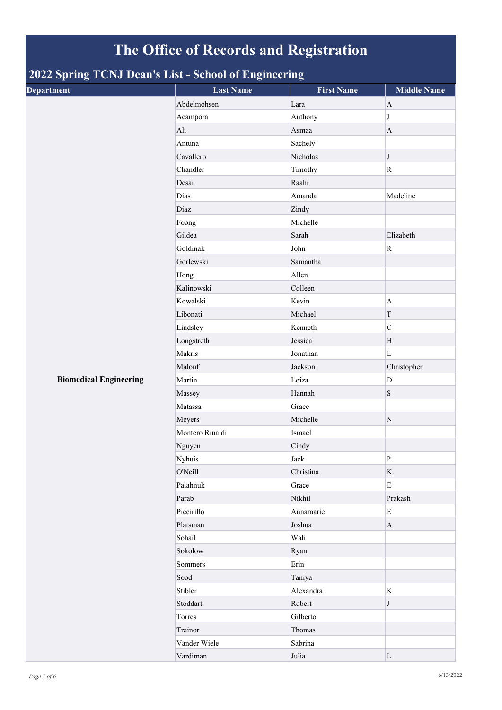## **The Office of Records and Registration**

## **2022 Spring TCNJ Dean's List - School of Engineering**

| <b>Department</b>             | <b>Last Name</b> | <b>First Name</b> | <b>Middle Name</b> |
|-------------------------------|------------------|-------------------|--------------------|
|                               | Abdelmohsen      | Lara              | $\mathbf{A}$       |
|                               | Acampora         | Anthony           | $\bf J$            |
|                               | Ali              | Asmaa             | $\mathbf{A}$       |
|                               | Antuna           | Sachely           |                    |
|                               | Cavallero        | Nicholas          | J                  |
|                               | Chandler         | Timothy           | $\mathbf R$        |
|                               | Desai            | Raahi             |                    |
|                               | Dias             | Amanda            | Madeline           |
|                               | Diaz             | Zindy             |                    |
|                               | Foong            | Michelle          |                    |
|                               | Gildea           | Sarah             | Elizabeth          |
|                               | Goldinak         | John              | ${\bf R}$          |
|                               | Gorlewski        | Samantha          |                    |
|                               | Hong             | Allen             |                    |
|                               | Kalinowski       | Colleen           |                    |
|                               | Kowalski         | Kevin             | $\mathbf{A}$       |
|                               | Libonati         | Michael           | T                  |
|                               | Lindsley         | Kenneth           | $\mathbf C$        |
|                               | Longstreth       | Jessica           | H                  |
|                               | Makris           | Jonathan          | $\mathbf L$        |
|                               | Malouf           | Jackson           | Christopher        |
| <b>Biomedical Engineering</b> | Martin           | Loiza             | $\mathbf D$        |
|                               | Massey           | Hannah            | $\mathbf S$        |
|                               | Matassa          | Grace             |                    |
|                               | Meyers           | Michelle          | ${\bf N}$          |
|                               | Montero Rinaldi  | Ismael            |                    |
|                               | Nguyen           | Cindy             |                    |
|                               | Nyhuis           | Jack              | ${\bf P}$          |
|                               | O'Neill          | Christina         | K.                 |
|                               | Palahnuk         | Grace             | E                  |
|                               | Parab            | Nikhil            | Prakash            |
|                               | Piccirillo       | Annamarie         | ${\bf E}$          |
|                               | Platsman         | Joshua            | $\bf{A}$           |
|                               | Sohail           | Wali              |                    |
|                               | Sokolow          | Ryan              |                    |
|                               | Sommers          | Erin              |                    |
|                               | Sood             | Taniya            |                    |
|                               | Stibler          | Alexandra         | $\rm K$            |
|                               | Stoddart         | Robert            | J                  |
|                               | Torres           | Gilberto          |                    |
|                               | Trainor          | Thomas            |                    |
|                               | Vander Wiele     | Sabrina           |                    |
|                               | Vardiman         | Julia             | $\mathbf L$        |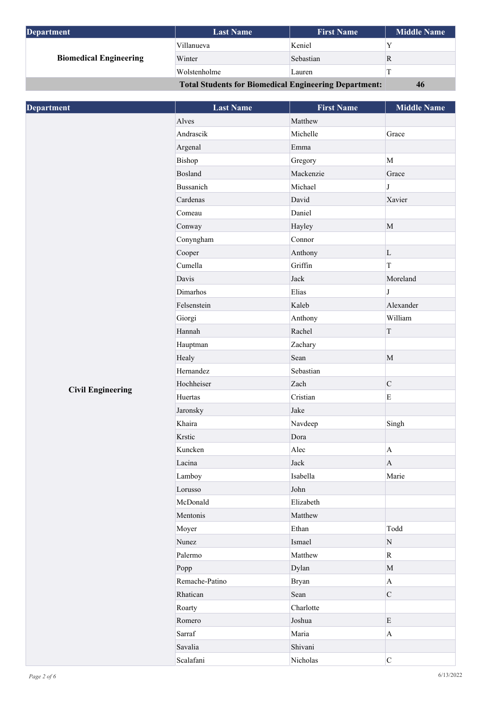| Department                                                   | <b>Last Name</b> | <b>First Name</b> | <b>Middle Name</b> |
|--------------------------------------------------------------|------------------|-------------------|--------------------|
| <b>Biomedical Engineering</b>                                | Villanueva       | Keniel            |                    |
|                                                              | Winter           | Sebastian         |                    |
|                                                              | Wolstenholme     | Lauren            |                    |
| <b>Total Students for Biomedical Engineering Department:</b> |                  | 46                |                    |

| <b>Department</b>        | <b>Last Name</b> | <b>First Name</b> | <b>Middle Name</b>    |
|--------------------------|------------------|-------------------|-----------------------|
|                          | Alves            | Matthew           |                       |
|                          | Andrascik        | Michelle          | Grace                 |
|                          | Argenal          | Emma              |                       |
|                          | Bishop           | Gregory           | $\mathbf{M}$          |
|                          | Bosland          | Mackenzie         | Grace                 |
|                          | Bussanich        | Michael           | $\bf J$               |
|                          | Cardenas         | David             | Xavier                |
|                          | Comeau           | Daniel            |                       |
|                          | Conway           | Hayley            | $\mathbf{M}$          |
|                          | Conyngham        | Connor            |                       |
|                          | Cooper           | Anthony           | $\mathbf L$           |
|                          | Cumella          | Griffin           | $\bar{\rm T}$         |
|                          | Davis            | Jack              | Moreland              |
|                          | Dimarhos         | Elias             | $\bf J$               |
|                          | Felsenstein      | Kaleb             | Alexander             |
|                          | Giorgi           | Anthony           | William               |
|                          | Hannah           | Rachel            | $\mathbf T$           |
|                          | Hauptman         | Zachary           |                       |
|                          | Healy            | Sean              | $\mathbf M$           |
|                          | Hernandez        | Sebastian         |                       |
|                          | Hochheiser       | Zach              | $\mathbf C$           |
| <b>Civil Engineering</b> | Huertas          | Cristian          | $\mathbf E$           |
|                          | Jaronsky         | Jake              |                       |
|                          | Khaira           | Navdeep           | Singh                 |
|                          | Krstic           | Dora              |                       |
|                          | Kuncken          | Alec              | $\mathbf{A}$          |
|                          | Lacina           | Jack              | $\boldsymbol{\rm{A}}$ |
|                          | Lamboy           | Isabella          | Marie                 |
|                          | Lorusso          | John              |                       |
|                          | McDonald         | Elizabeth         |                       |
|                          | Mentonis         | Matthew           |                       |
|                          | Moyer            | Ethan             | Todd                  |
|                          | Nunez            | Ismael            | ${\bf N}$             |
|                          | Palermo          | Matthew           | $\mathbf R$           |
|                          | Popp             | Dylan             | $\mathbf{M}$          |
|                          | Remache-Patino   | <b>Bryan</b>      | $\bf{A}$              |
|                          | Rhatican         | Sean              | $\mathsf C$           |
|                          | Roarty           | Charlotte         |                       |
|                          | Romero           | Joshua            | $\mathbf E$           |
|                          | Sarraf           | Maria             | $\mathbf A$           |
|                          | Savalia          | Shivani           |                       |
|                          | Scalafani        | Nicholas          | $\mathbf C$           |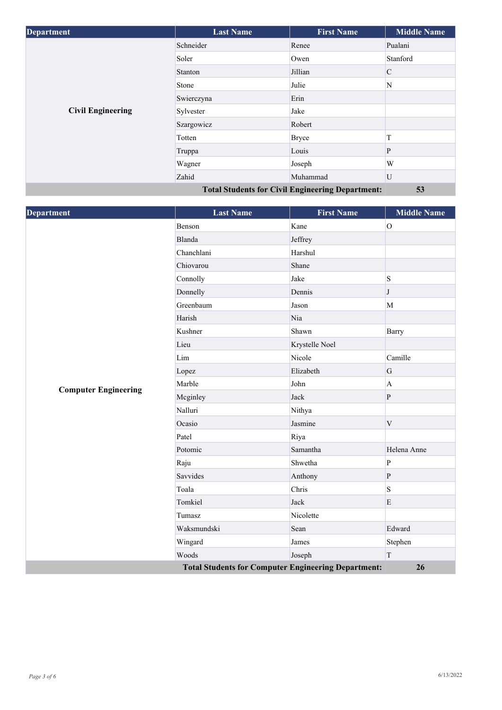| <b>Department</b>                                       | <b>Last Name</b> | <b>First Name</b> | <b>Middle Name</b> |
|---------------------------------------------------------|------------------|-------------------|--------------------|
|                                                         | Schneider        | Renee             | Pualani            |
|                                                         | Soler            | Owen              | Stanford           |
|                                                         | Stanton          | Jillian           | $\mathcal{C}$      |
|                                                         | <b>Stone</b>     | Julie             | N                  |
|                                                         | Swierczyna       | Erin              |                    |
| <b>Civil Engineering</b>                                | Sylvester        | Jake              |                    |
|                                                         | Szargowicz       | Robert            |                    |
|                                                         | Totten           | <b>Bryce</b>      | T                  |
|                                                         | Truppa           | Louis             | P                  |
|                                                         | Wagner           | Joseph            | W                  |
|                                                         | Zahid            | Muhammad          | U                  |
| <b>Total Students for Civil Engineering Department:</b> |                  |                   | 53                 |

| Department                                                 | <b>Last Name</b> | <b>First Name</b> | <b>Middle Name</b> |
|------------------------------------------------------------|------------------|-------------------|--------------------|
|                                                            | Benson           | Kane              | $\overline{O}$     |
|                                                            | Blanda           | Jeffrey           |                    |
|                                                            | Chanchlani       | Harshul           |                    |
|                                                            | Chiovarou        | Shane             |                    |
|                                                            | Connolly         | Jake              | S                  |
|                                                            | Donnelly         | Dennis            | J                  |
|                                                            | Greenbaum        | Jason             | M                  |
|                                                            | Harish           | Nia               |                    |
|                                                            | Kushner          | Shawn             | Barry              |
|                                                            | Lieu             | Krystelle Noel    |                    |
|                                                            | Lim              | Nicole            | Camille            |
|                                                            | Lopez            | Elizabeth         | ${\bf G}$          |
|                                                            | Marble           | John              | $\mathbf{A}$       |
| <b>Computer Engineering</b>                                | Mcginley         | Jack              | $\mathbf{P}$       |
|                                                            | Nalluri          | Nithya            |                    |
|                                                            | Ocasio           | Jasmine           | $\mathbf V$        |
|                                                            | Patel            | Riya              |                    |
|                                                            | Potomic          | Samantha          | Helena Anne        |
|                                                            | Raju             | Shwetha           | $\mathbf{P}$       |
|                                                            | Savvides         | Anthony           | $\mathbf{P}$       |
|                                                            | Toala            | Chris             | S                  |
|                                                            | Tomkiel          | Jack              | E                  |
|                                                            | Tumasz           | Nicolette         |                    |
|                                                            | Waksmundski      | Sean              | Edward             |
|                                                            | Wingard          | James             | Stephen            |
|                                                            | Woods            | Joseph            | T                  |
| <b>Total Students for Computer Engineering Department:</b> |                  |                   | 26                 |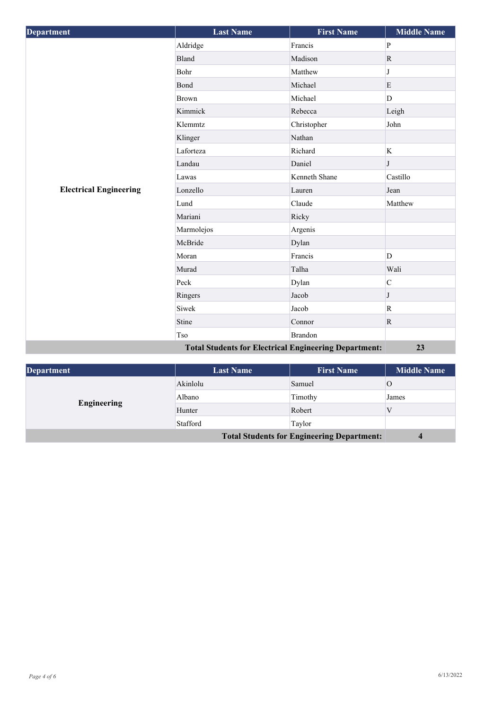| <b>Department</b>             | <b>Last Name</b>                                             | <b>First Name</b> | <b>Middle Name</b> |
|-------------------------------|--------------------------------------------------------------|-------------------|--------------------|
|                               | Aldridge                                                     | Francis           | ${\bf P}$          |
|                               | <b>Bland</b>                                                 | Madison           | $\mathbf R$        |
|                               | Bohr                                                         | Matthew           | J                  |
|                               | Bond                                                         | Michael           | $\mathbf E$        |
|                               | <b>Brown</b>                                                 | Michael           | D                  |
|                               | Kimmick                                                      | Rebecca           | Leigh              |
|                               | Klemmtz                                                      | Christopher       | John               |
|                               | Klinger                                                      | Nathan            |                    |
|                               | Laforteza                                                    | Richard           | $\bf K$            |
|                               | Landau                                                       | Daniel            | J                  |
|                               | Lawas                                                        | Kenneth Shane     | Castillo           |
| <b>Electrical Engineering</b> | Lonzello                                                     | Lauren            | Jean               |
|                               | Lund                                                         | Claude            | Matthew            |
|                               | Mariani                                                      | Ricky             |                    |
|                               | Marmolejos                                                   | Argenis           |                    |
|                               | McBride                                                      | Dylan             |                    |
|                               | Moran                                                        | Francis           | D                  |
|                               | Murad                                                        | Talha             | Wali               |
|                               | Peck                                                         | Dylan             | $\mathsf C$        |
|                               | Ringers                                                      | Jacob             | J                  |
|                               | Siwek                                                        | Jacob             | $\mathbf R$        |
|                               | Stine                                                        | Connor            | $\mathbf R$        |
|                               | Tso                                                          | <b>Brandon</b>    |                    |
|                               | <b>Total Students for Electrical Engineering Department:</b> |                   | 23                 |

| <b>Department</b>                                 | <b>Last Name</b> | <b>First Name</b> | <b>Middle Name</b> |
|---------------------------------------------------|------------------|-------------------|--------------------|
| Engineering                                       | Akinlolu         | Samuel            |                    |
|                                                   | Albano           | Timothy           | James              |
|                                                   | Hunter           | Robert            |                    |
|                                                   | Stafford         | Taylor            |                    |
| <b>Total Students for Engineering Department:</b> |                  | $\overline{4}$    |                    |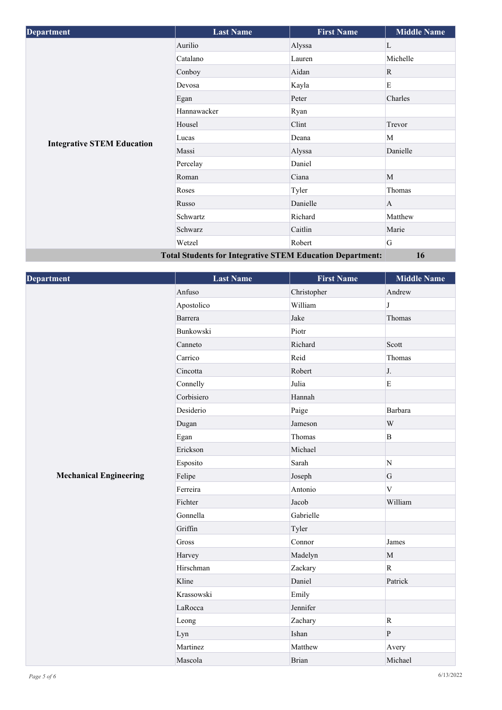| <b>Department</b>                                                | <b>Last Name</b> | <b>First Name</b> | <b>Middle Name</b> |
|------------------------------------------------------------------|------------------|-------------------|--------------------|
|                                                                  | Aurilio          | Alyssa            | L                  |
|                                                                  | Catalano         | Lauren            | Michelle           |
|                                                                  | Conboy           | Aidan             | R                  |
|                                                                  | Devosa           | Kayla             | E                  |
|                                                                  | Egan             | Peter             | Charles            |
|                                                                  | Hannawacker      | Ryan              |                    |
|                                                                  | Housel           | Clint             | Trevor             |
|                                                                  | Lucas            | Deana             | M                  |
| <b>Integrative STEM Education</b>                                | Massi            | Alyssa            | Danielle           |
|                                                                  | Percelay         | Daniel            |                    |
|                                                                  | Roman            | Ciana             | M                  |
|                                                                  | Roses            | Tyler             | Thomas             |
|                                                                  | Russo            | Danielle          | A                  |
|                                                                  | Schwartz         | Richard           | Matthew            |
|                                                                  | Schwarz          | Caitlin           | Marie              |
|                                                                  | Wetzel           | Robert            | G                  |
| <b>Total Students for Integrative STEM Education Department:</b> |                  |                   | 16                 |

| Department                    | <b>Last Name</b> | <b>First Name</b> | <b>Middle Name</b>      |
|-------------------------------|------------------|-------------------|-------------------------|
|                               | Anfuso           | Christopher       | Andrew                  |
|                               | Apostolico       | William           | $\mathbf{J}$            |
|                               | Barrera          | Jake              | Thomas                  |
|                               | Bunkowski        | Piotr             |                         |
|                               | Canneto          | Richard           | Scott                   |
|                               | Carrico          | Reid              | Thomas                  |
|                               | Cincotta         | Robert            | J.                      |
|                               | Connelly         | Julia             | $\mathbf E$             |
|                               | Corbisiero       | Hannah            |                         |
|                               | Desiderio        | Paige             | Barbara                 |
|                               | Dugan            | Jameson           | $\ensuremath{\text{W}}$ |
|                               | Egan             | Thomas            | $\mathbf B$             |
|                               | Erickson         | Michael           |                         |
|                               | Esposito         | Sarah             | N                       |
| <b>Mechanical Engineering</b> | Felipe           | Joseph            | ${\bf G}$               |
|                               | Ferreira         | Antonio           | $\overline{V}$          |
|                               | Fichter          | Jacob             | William                 |
|                               | Gonnella         | Gabrielle         |                         |
|                               | Griffin          | Tyler             |                         |
|                               | Gross            | Connor            | James                   |
|                               | Harvey           | Madelyn           | $\mathbf M$             |
|                               | Hirschman        | Zackary           | $\overline{\mathbf{R}}$ |
|                               | Kline            | Daniel            | Patrick                 |
|                               | Krassowski       | Emily             |                         |
|                               | LaRocca          | Jennifer          |                         |
|                               | Leong            | Zachary           | $\mathbf R$             |
|                               | Lyn              | Ishan             | $\, {\bf p}$            |
|                               | Martinez         | Matthew           | Avery                   |
|                               | Mascola          | <b>Brian</b>      | Michael                 |